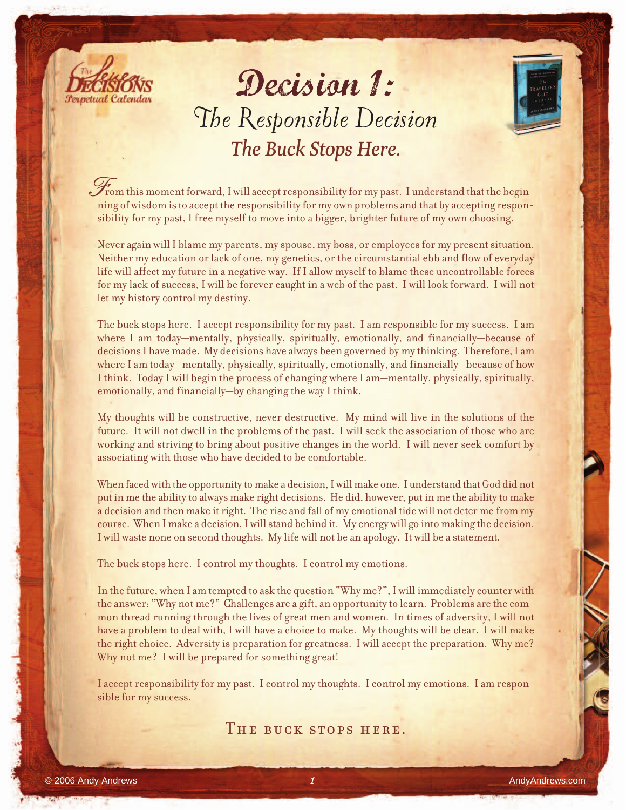

#### Decision 1: *The Responsible Decision The Buck Stops Here.*



From this moment forward, I will accept responsibility for my past. I understand that the beginning of wisdom is to accept the responsibility for my own problems and that by accepting responsibility for my past, I free myself to move into a bigger, brighter future of my own choosing.

Never again will I blame my parents, my spouse, my boss, or employees for my present situation. Neither my education or lack of one, my genetics, or the circumstantial ebb and flow of everyday life will affect my future in a negative way. If I allow myself to blame these uncontrollable forces for my lack of success, I will be forever caught in a web of the past. I will look forward. I will not let my history control my destiny.

The buck stops here. I accept responsibility for my past. I am responsible for my success. I am where I am today—mentally, physically, spiritually, emotionally, and financially—because of decisions I have made. My decisions have always been governed by my thinking. Therefore, I am where I am today—mentally, physically, spiritually, emotionally, and financially—because of how I think. Today I will begin the process of changing where I am—mentally, physically, spiritually, emotionally, and financially—by changing the way I think.

My thoughts will be constructive, never destructive. My mind will live in the solutions of the future. It will not dwell in the problems of the past. I will seek the association of those who are working and striving to bring about positive changes in the world. I will never seek comfort by associating with those who have decided to be comfortable.

When faced with the opportunity to make a decision, I will make one. I understand that God did not put in me the ability to always make right decisions. He did, however, put in me the ability to make a decision and then make it right. The rise and fall of my emotional tide will not deter me from my course. When I make a decision, I will stand behind it. My energy will go into making the decision. I will waste none on second thoughts. My life will not be an apology. It will be a statement.

The buck stops here. I control my thoughts. I control my emotions.

In the future, when I am tempted to ask the question "Why me?", I will immediately counter with the answer: "Why not me?" Challenges are a gift, an opportunity to learn. Problems are the common thread running through the lives of great men and women. In times of adversity, I will not have a problem to deal with, I will have a choice to make. My thoughts will be clear. I will make the right choice. Adversity is preparation for greatness. I will accept the preparation. Why me? Why not me? I will be prepared for something great!

I accept responsibility for my past. I control my thoughts. I control my emotions. I am responsible for my success.

THE BUCK STOPS HERE.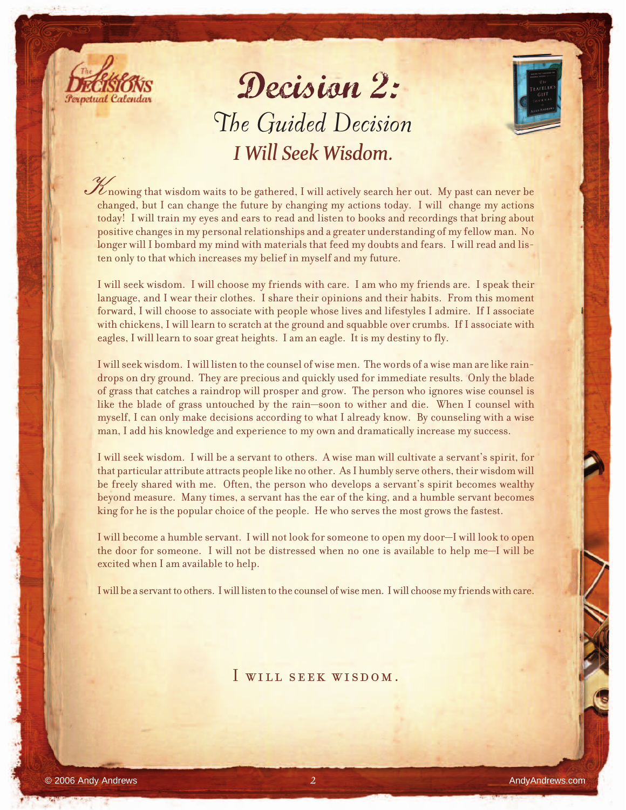

#### Decision 2: *The Guided Decision I Will Seek Wisdom.*



 $\mathscr{H}_{\textrm{nowing that wisdom waits to be gathered, I will actively search her out. My past can never be}$ changed, but I can change the future by changing my actions today. I will change my actions today! I will train my eyes and ears to read and listen to books and recordings that bring about positive changes in my personal relationships and a greater understanding of my fellow man. No longer will I bombard my mind with materials that feed my doubts and fears. I will read and listen only to that which increases my belief in myself and my future.

I will seek wisdom. I will choose my friends with care. I am who my friends are. I speak their language, and I wear their clothes. I share their opinions and their habits. From this moment forward, I will choose to associate with people whose lives and lifestyles I admire. If I associate with chickens, I will learn to scratch at the ground and squabble over crumbs. If I associate with eagles, I will learn to soar great heights. I am an eagle. It is my destiny to fly.

I will seek wisdom. I will listen to the counsel of wise men. The words of a wise man are like raindrops on dry ground. They are precious and quickly used for immediate results. Only the blade of grass that catches a raindrop will prosper and grow. The person who ignores wise counsel is like the blade of grass untouched by the rain—soon to wither and die. When I counsel with myself, I can only make decisions according to what I already know. By counseling with a wise man, I add his knowledge and experience to my own and dramatically increase my success.

I will seek wisdom. I will be a servant to others. A wise man will cultivate a servant's spirit, for that particular attribute attracts people like no other. As I humbly serve others, their wisdom will be freely shared with me. Often, the person who develops a servant's spirit becomes wealthy beyond measure. Many times, a servant has the ear of the king, and a humble servant becomes king for he is the popular choice of the people. He who serves the most grows the fastest.

I will become a humble servant. I will not look for someone to open my door—I will look to open the door for someone. I will not be distressed when no one is available to help me—I will be excited when I am available to help.

I will be a servant to others. I will listen to the counsel of wise men. I will choose my friends with care.

I will seek wisdom.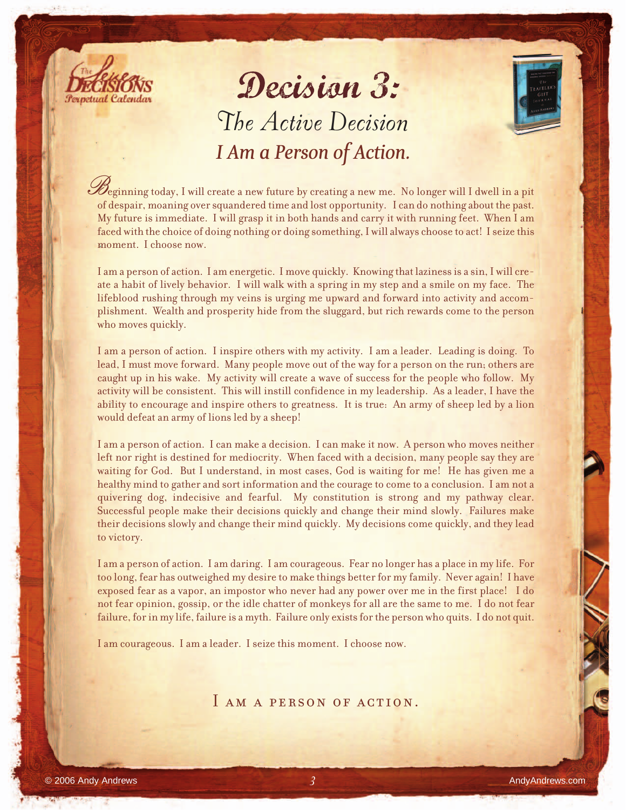

#### Decision 3: *The Active Decision I Am a Person of Action.*



 $\mathscr{B}_{\text{eginning today, I will create a new future by creating a new me. No longer will I dwell in a pit.}$ of despair, moaning over squandered time and lost opportunity. I can do nothing about the past. My future is immediate. I will grasp it in both hands and carry it with running feet. When I am faced with the choice of doing nothing or doing something, I will always choose to act! I seize this moment. I choose now.

I am a person of action. I am energetic. I move quickly. Knowing that laziness is a sin, I will create a habit of lively behavior. I will walk with a spring in my step and a smile on my face. The lifeblood rushing through my veins is urging me upward and forward into activity and accomplishment. Wealth and prosperity hide from the sluggard, but rich rewards come to the person who moves quickly.

I am a person of action. I inspire others with my activity. I am a leader. Leading is doing. To lead, I must move forward. Many people move out of the way for a person on the run; others are caught up in his wake. My activity will create a wave of success for the people who follow. My activity will be consistent. This will instill confidence in my leadership. As a leader, I have the ability to encourage and inspire others to greatness. It is true: An army of sheep led by a lion would defeat an army of lions led by a sheep!

I am a person of action. I can make a decision. I can make it now. A person who moves neither left nor right is destined for mediocrity. When faced with a decision, many people say they are waiting for God. But I understand, in most cases, God is waiting for me! He has given me a healthy mind to gather and sort information and the courage to come to a conclusion. I am not a quivering dog, indecisive and fearful. My constitution is strong and my pathway clear. Successful people make their decisions quickly and change their mind slowly. Failures make their decisions slowly and change their mind quickly. My decisions come quickly, and they lead to victory.

I am a person of action. I am daring. I am courageous. Fear no longer has a place in my life. For too long, fear has outweighed my desire to make things better for my family. Never again! I have exposed fear as a vapor, an impostor who never had any power over me in the first place! I do not fear opinion, gossip, or the idle chatter of monkeys for all are the same to me. I do not fear failure, for in my life, failure is a myth. Failure only exists for the person who quits. I do not quit.

I am courageous. I am a leader. I seize this moment. I choose now.

I AM A PERSON OF ACTION.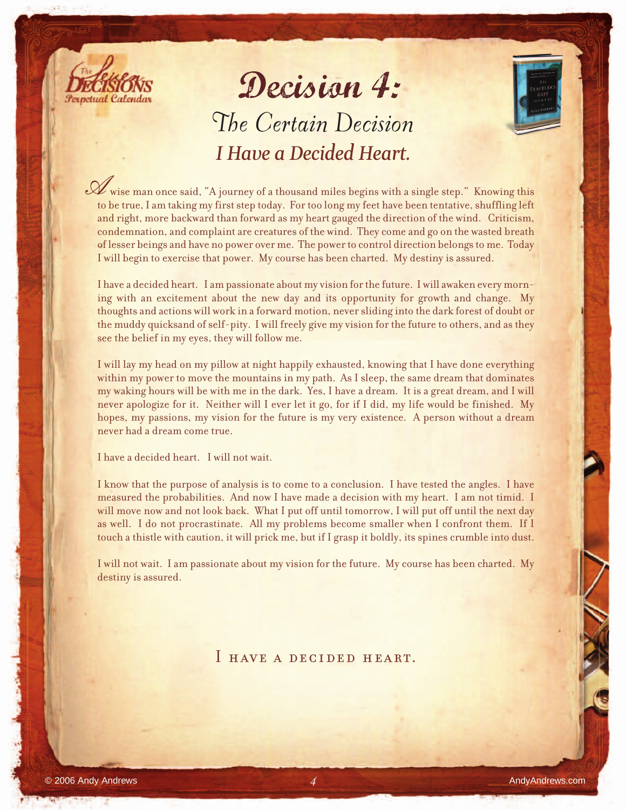

## Decision 4:

#### *The Certain Decision I Have a Decided Heart.*

W wise man once said, "A journey of a thousand miles begins with a single step." Knowing this to be true, I am taking my first step today. For too long my feet have been tentative, shuffling left and right, more backward than forward as my heart gauged the direction of the wind. Criticism, condemnation, and complaint are creatures of the wind. They come and go on the wasted breath of lesser beings and have no power over me. The power to control direction belongs to me. Today I will begin to exercise that power. My course has been charted. My destiny is assured.

I have a decided heart. I am passionate about my vision for the future. I will awaken every morning with an excitement about the new day and its opportunity for growth and change. My thoughts and actions will work in a forward motion, never sliding into the dark forest of doubt or the muddy quicksand of self-pity. I will freely give my vision for the future to others, and as they see the belief in my eyes, they will follow me.

I will lay my head on my pillow at night happily exhausted, knowing that I have done everything within my power to move the mountains in my path. As I sleep, the same dream that dominates my waking hours will be with me in the dark. Yes, I have a dream. It is a great dream, and I will never apologize for it. Neither will I ever let it go, for if I did, my life would be finished. My hopes, my passions, my vision for the future is my very existence. A person without a dream never had a dream come true.

I have a decided heart. I will not wait.

I know that the purpose of analysis is to come to a conclusion. I have tested the angles. I have measured the probabilities. And now I have made a decision with my heart. I am not timid. I will move now and not look back. What I put off until tomorrow, I will put off until the next day as well. I do not procrastinate. All my problems become smaller when I confront them. If I touch a thistle with caution, it will prick me, but if I grasp it boldly, its spines crumble into dust.

I will not wait. I am passionate about my vision for the future. My course has been charted. My destiny is assured.

I have a decided heart.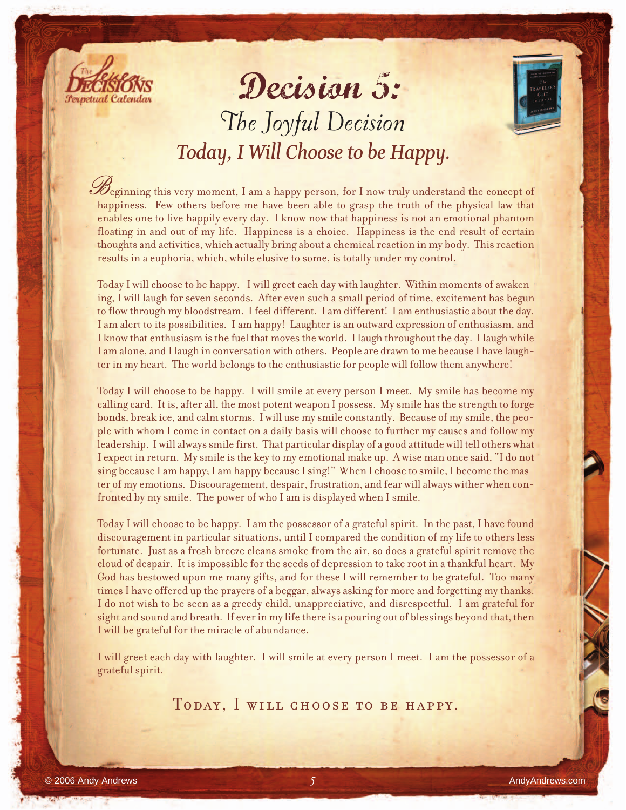

# Decision 5:



#### *The Joyful Decision Today, I Will Choose to be Happy.*

 $\mathscr{B}_{\text{eginning this very moment, I am a happy person, for I now truly understand the concept of}$ happiness. Few others before me have been able to grasp the truth of the physical law that enables one to live happily every day. I know now that happiness is not an emotional phantom floating in and out of my life. Happiness is a choice. Happiness is the end result of certain thoughts and activities, which actually bring about a chemical reaction in my body. This reaction results in a euphoria, which, while elusive to some, is totally under my control.

Today I will choose to be happy. I will greet each day with laughter. Within moments of awakening, I will laugh for seven seconds. After even such a small period of time, excitement has begun to flow through my bloodstream. I feel different. I am different! I am enthusiastic about the day. I am alert to its possibilities. I am happy! Laughter is an outward expression of enthusiasm, and I know that enthusiasm is the fuel that moves the world. I laugh throughout the day. I laugh while I am alone, and I laugh in conversation with others. People are drawn to me because I have laughter in my heart. The world belongs to the enthusiastic for people will follow them anywhere!

Today I will choose to be happy. I will smile at every person I meet. My smile has become my calling card. It is, after all, the most potent weapon I possess. My smile has the strength to forge bonds, break ice, and calm storms. I will use my smile constantly. Because of my smile, the people with whom I come in contact on a daily basis will choose to further my causes and follow my leadership. I will always smile first. That particular display of a good attitude will tell others what I expect in return. My smile is the key to my emotional make up. A wise man once said, "I do not sing because I am happy; I am happy because I sing!" When I choose to smile, I become the master of my emotions. Discouragement, despair, frustration, and fear will always wither when confronted by my smile. The power of who I am is displayed when I smile.

Today I will choose to be happy. I am the possessor of a grateful spirit. In the past, I have found discouragement in particular situations, until I compared the condition of my life to others less fortunate. Just as a fresh breeze cleans smoke from the air, so does a grateful spirit remove the cloud of despair. It is impossible for the seeds of depression to take root in a thankful heart. My God has bestowed upon me many gifts, and for these I will remember to be grateful. Too many times I have offered up the prayers of a beggar, always asking for more and forgetting my thanks. I do not wish to be seen as a greedy child, unappreciative, and disrespectful. I am grateful for sight and sound and breath. If ever in my life there is a pouring out of blessings beyond that, then I will be grateful for the miracle of abundance.

I will greet each day with laughter. I will smile at every person I meet. I am the possessor of a grateful spirit.

TODAY, I WILL CHOOSE TO BE HAPPY.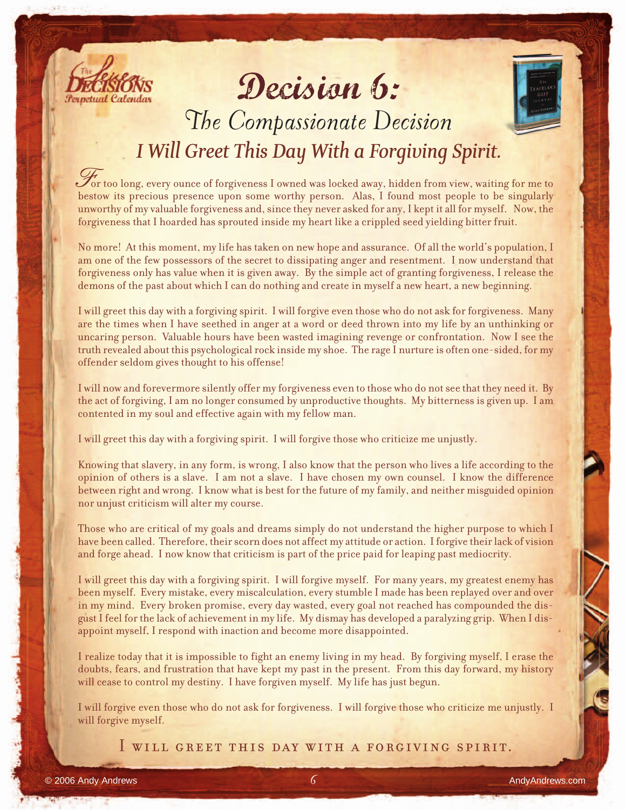

### Decision 6:



#### *The Compassionate Decision I Will Greet This Day With a Forgiving Spirit.*

or too long, every ounce of forgiveness I owned was locked away, hidden from view, waiting for me to  $\mathscr F$  or too long, every ounce of forgiveness I owned was locked away, hidden from view, waiting for me to be singularly unworthy of my valuable forgiveness and, since they never asked for any, I kept it all for myself. Now, the forgiveness that I hoarded has sprouted inside my heart like a crippled seed yielding bitter fruit.

No more! At this moment, my life has taken on new hope and assurance. Of all the world's population, I am one of the few possessors of the secret to dissipating anger and resentment. I now understand that forgiveness only has value when it is given away. By the simple act of granting forgiveness, I release the demons of the past about which I can do nothing and create in myself a new heart, a new beginning.

I will greet this day with a forgiving spirit. I will forgive even those who do not ask for forgiveness. Many are the times when I have seethed in anger at a word or deed thrown into my life by an unthinking or uncaring person. Valuable hours have been wasted imagining revenge or confrontation. Now I see the truth revealed about this psychological rock inside my shoe. The rage I nurture is often one-sided, for my offender seldom gives thought to his offense!

I will now and forevermore silently offer my forgiveness even to those who do not see that they need it. By the act of forgiving, I am no longer consumed by unproductive thoughts. My bitterness is given up. I am contented in my soul and effective again with my fellow man.

I will greet this day with a forgiving spirit. I will forgive those who criticize me unjustly.

Knowing that slavery, in any form, is wrong, I also know that the person who lives a life according to the opinion of others is a slave. I am not a slave. I have chosen my own counsel. I know the difference between right and wrong. I know what is best for the future of my family, and neither misguided opinion nor unjust criticism will alter my course.

Those who are critical of my goals and dreams simply do not understand the higher purpose to which I have been called. Therefore, their scorn does not affect my attitude or action. I forgive their lack of vision and forge ahead. I now know that criticism is part of the price paid for leaping past mediocrity.

I will greet this day with a forgiving spirit. I will forgive myself. For many years, my greatest enemy has been myself. Every mistake, every miscalculation, every stumble I made has been replayed over and over in my mind. Every broken promise, every day wasted, every goal not reached has compounded the disgust I feel for the lack of achievement in my life. My dismay has developed a paralyzing grip. When I disappoint myself, I respond with inaction and become more disappointed.

I realize today that it is impossible to fight an enemy living in my head. By forgiving myself, I erase the doubts, fears, and frustration that have kept my past in the present. From this day forward, my history will cease to control my destiny. I have forgiven myself. My life has just begun.

I will forgive even those who do not ask for forgiveness. I will forgive those who criticize me unjustly. I will forgive myself.

I will greet this day with a forgiving spirit.